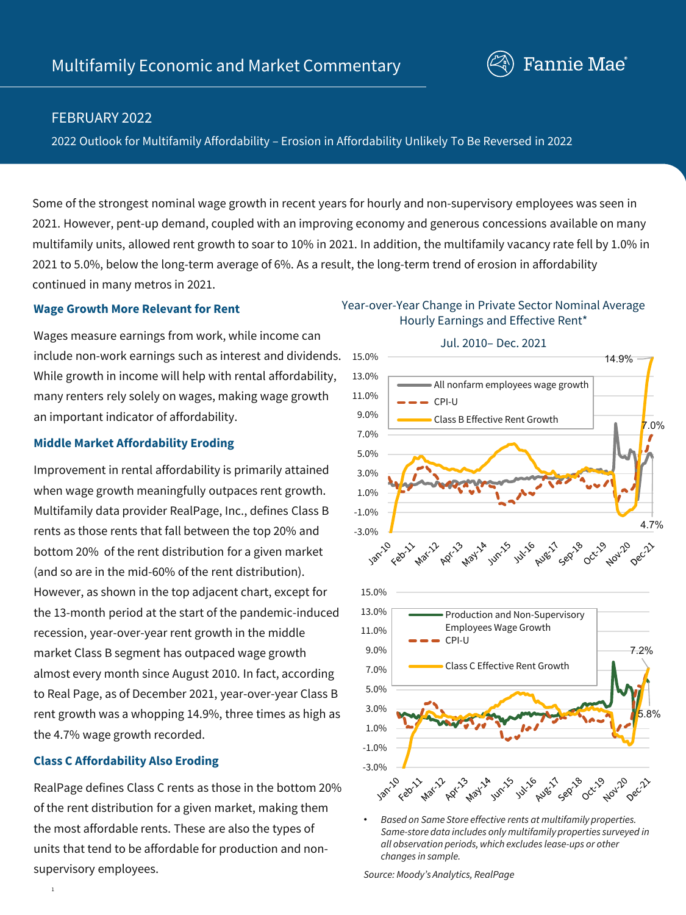

# FEBRUARY 2022

2022 Outlook for Multifamily Affordability – Erosion in Affordability Unlikely To Be Reversed in 2022

Some of the strongest nominal wage growth in recent years for hourly and non-supervisory employees was seen in 2021. However, pent-up demand, coupled with an improving economy and generous concessions available on many multifamily units, allowed rent growth to soar to 10% in 2021. In addition, the multifamily vacancy rate fell by 1.0% in 2021 to 5.0%, below the long-term average of 6%. As a result, the long-term trend of erosion in affordability continued in many metros in 2021.

#### **Wage Growth More Relevant for Rent**

Wages measure earnings from work, while income can include non-work earnings such as interest and dividends. While growth in income will help with rental affordability, many renters rely solely on wages, making wage growth an important indicator of affordability.

#### **Middle Market Affordability Eroding**

Improvement in rental affordability is primarily attained when wage growth meaningfully outpaces rent growth. Multifamily data provider RealPage, Inc., defines Class B rents as those rents that fall between the top 20% and bottom 20% of the rent distribution for a given market (and so are in the mid-60% of the rent distribution). However, as shown in the top adjacent chart, except for the 13-month period at the start of the pandemic-induced recession, year-over-year rent growth in the middle market Class B segment has outpaced wage growth almost every month since August 2010. In fact, according to Real Page, as of December 2021, year-over-year Class B rent growth was a whopping 14.9%, three times as high as the 4.7% wage growth recorded.

## **Class C Affordability Also Eroding**

1

RealPage defines Class C rents as those in the bottom 20% of the rent distribution for a given market, making them the most affordable rents. These are also the types of units that tend to be affordable for production and nonsupervisory employees.

# Year-over-Year Change in Private Sector Nominal Average Hourly Earnings and Effective Rent\*



• *Based on Same Store effective rents at multifamily properties. Same-store data includes only multifamily properties surveyed in all observation periods, which excludes lease-ups or other changes in sample.* 

*Source: Moody's Analytics, RealPage*

# Jul. 2010– Dec. 2021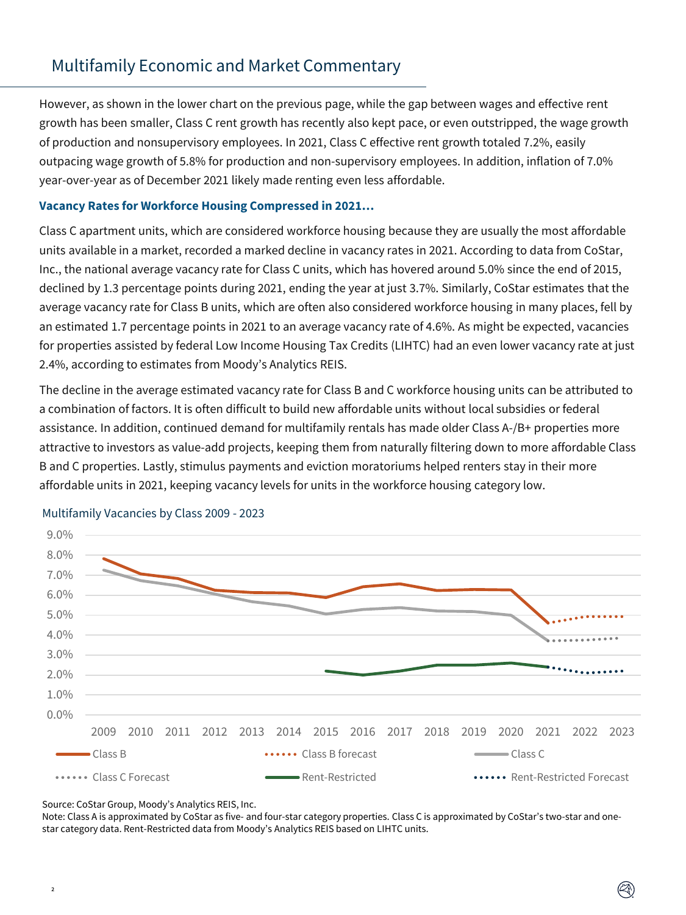However, as shown in the lower chart on the previous page, while the gap between wages and effective rent growth has been smaller, Class C rent growth has recently also kept pace, or even outstripped, the wage growth of production and nonsupervisory employees. In 2021, Class C effective rent growth totaled 7.2%, easily outpacing wage growth of 5.8% for production and non-supervisory employees. In addition, inflation of 7.0% year-over-year as of December 2021 likely made renting even less affordable.

#### **Vacancy Rates for Workforce Housing Compressed in 2021…**

Class C apartment units, which are considered workforce housing because they are usually the most affordable units available in a market, recorded a marked decline in vacancy rates in 2021. According to data from CoStar, Inc., the national average vacancy rate for Class C units, which has hovered around 5.0% since the end of 2015, declined by 1.3 percentage points during 2021, ending the year at just 3.7%. Similarly, CoStar estimates that the average vacancy rate for Class B units, which are often also considered workforce housing in many places, fell by an estimated 1.7 percentage points in 2021 to an average vacancy rate of 4.6%. As might be expected, vacancies for properties assisted by federal Low Income Housing Tax Credits (LIHTC) had an even lower vacancy rate at just 2.4%, according to estimates from Moody's Analytics REIS.

The decline in the average estimated vacancy rate for Class B and C workforce housing units can be attributed to a combination of factors. It is often difficult to build new affordable units without local subsidies or federal assistance. In addition, continued demand for multifamily rentals has made older Class A-/B+ properties more attractive to investors as value-add projects, keeping them from naturally filtering down to more affordable Class B and C properties. Lastly, stimulus payments and eviction moratoriums helped renters stay in their more affordable units in 2021, keeping vacancy levels for units in the workforce housing category low.



#### Multifamily Vacancies by Class 2009 - 2023

Source: CoStar Group, Moody's Analytics REIS, Inc.

 $\overline{2}$ 

Note: Class A is approximated by CoStar as five- and four-star category properties. Class C is approximated by CoStar's two-star and onestar category data. Rent-Restricted data from Moody's Analytics REIS based on LIHTC units.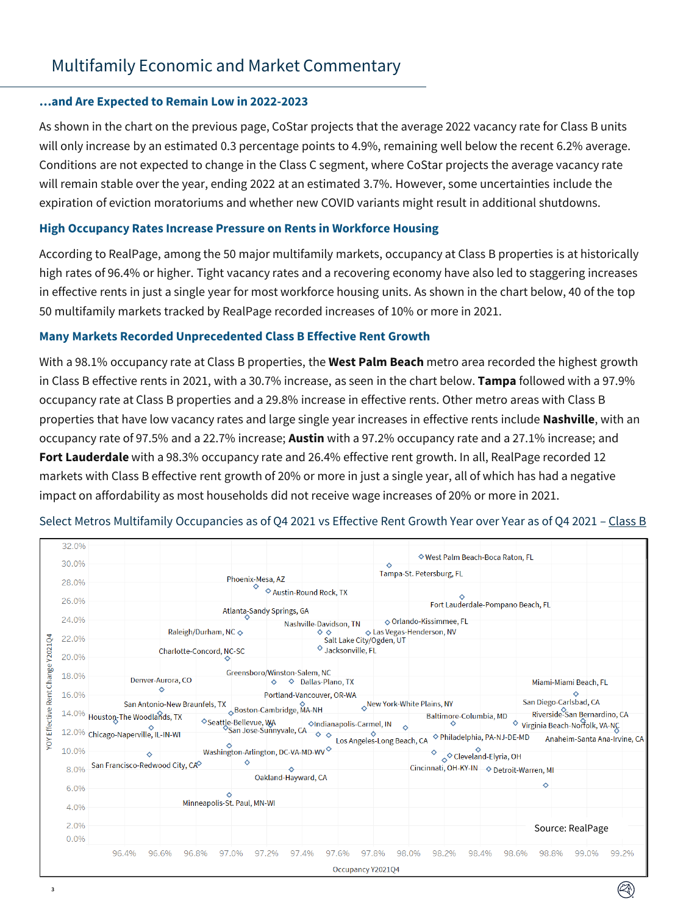#### **…and Are Expected to Remain Low in 2022-2023**

3

As shown in the chart on the previous page, CoStar projects that the average 2022 vacancy rate for Class B units will only increase by an estimated 0.3 percentage points to 4.9%, remaining well below the recent 6.2% average. Conditions are not expected to change in the Class C segment, where CoStar projects the average vacancy rate will remain stable over the year, ending 2022 at an estimated 3.7%. However, some uncertainties include the expiration of eviction moratoriums and whether new COVID variants might result in additional shutdowns.

#### **High Occupancy Rates Increase Pressure on Rents in Workforce Housing**

According to RealPage, among the 50 major multifamily markets, occupancy at Class B properties is at historically high rates of 96.4% or higher. Tight vacancy rates and a recovering economy have also led to staggering increases in effective rents in just a single year for most workforce housing units. As shown in the chart below, 40 of the top 50 multifamily markets tracked by RealPage recorded increases of 10% or more in 2021.

### **Many Markets Recorded Unprecedented Class B Effective Rent Growth**

With a 98.1% occupancy rate at Class B properties, the **West Palm Beach** metro area recorded the highest growth in Class B effective rents in 2021, with a 30.7% increase, as seen in the chart below. **Tampa** followed with a 97.9% occupancy rate at Class B properties and a 29.8% increase in effective rents. Other metro areas with Class B properties that have low vacancy rates and large single year increases in effective rents include **Nashville**, with an occupancy rate of 97.5% and a 22.7% increase; **Austin** with a 97.2% occupancy rate and a 27.1% increase; and **Fort Lauderdale** with a 98.3% occupancy rate and 26.4% effective rent growth. In all, RealPage recorded 12 markets with Class B effective rent growth of 20% or more in just a single year, all of which has had a negative impact on affordability as most households did not receive wage increases of 20% or more in 2021.

|                                   | 32.0% |                                                          |                                  |                                                                        |                            | ◆ West Palm Beach-Boca Raton, FL                            |                                                                                         |                |
|-----------------------------------|-------|----------------------------------------------------------|----------------------------------|------------------------------------------------------------------------|----------------------------|-------------------------------------------------------------|-----------------------------------------------------------------------------------------|----------------|
|                                   | 30.0% |                                                          |                                  |                                                                        |                            | Tampa-St. Petersburg, FL                                    |                                                                                         |                |
|                                   | 28.0% |                                                          | Phoenix-Mesa, AZ<br>♦            |                                                                        |                            |                                                             |                                                                                         |                |
|                                   |       |                                                          |                                  | Austin-Round Rock, TX                                                  |                            |                                                             |                                                                                         |                |
|                                   | 26.0% |                                                          |                                  | Atlanta-Sandy Springs, GA                                              |                            |                                                             | Fort Lauderdale-Pompano Beach, FL                                                       |                |
|                                   | 24.0% |                                                          |                                  | Nashville-Davidson, TN                                                 |                            | ◇ Orlando-Kissimmee, FL                                     |                                                                                         |                |
|                                   | 22.0% |                                                          | Raleigh/Durham, NC ↔             | $\Diamond$                                                             | Salt Lake City/Ogden, UT   | Las Vegas-Henderson, NV                                     |                                                                                         |                |
| YOY Effective Rent Change Y2021Q4 | 20.0% |                                                          | Charlotte-Concord, NC-SC         |                                                                        | <b>◇</b> Jacksonville, FL  |                                                             |                                                                                         |                |
|                                   |       |                                                          |                                  |                                                                        |                            |                                                             |                                                                                         |                |
|                                   | 18.0% | Denver-Aurora, CO                                        |                                  | Greensboro/Winston-Salem, NC<br>$\diamond$ $\diamond$ Dallas-Plano, TX |                            |                                                             | Miami-Miami Beach, FL                                                                   |                |
|                                   | 16.0% | ◇                                                        |                                  | Portland-Vancouver, OR-WA                                              |                            |                                                             |                                                                                         |                |
|                                   |       | San Antonio-New Braunfels, TX<br>Boston-Cambridge, MA-NH |                                  |                                                                        |                            | New York-White Plains, NY                                   | San Diego-Carlsbad, CA                                                                  |                |
|                                   |       | 14.0% Houston-The Woodlands, TX                          | ◇ Seattle-Bellevue, WA           |                                                                        | ◆Indianapolis-Carmel, IN   | $\Diamond$                                                  | Riverside-San Bernardino, CA<br>Baltimore-Columbia, MD<br>Virginia Beach-Norfolk, VA-NC |                |
|                                   |       | 12.0% Chicago-Naperville, IL-IN-WI                       |                                  | San Jose-Sunnyvale, CA<br>$\diamond$ $\diamond$                        |                            | ◇ Philadelphia, PA-NJ-DE-MD<br>Anaheim-Santa Ana-Irvine, CA |                                                                                         |                |
|                                   | 10.0% |                                                          |                                  |                                                                        | Los Angeles-Long Beach, CA |                                                             |                                                                                         |                |
|                                   |       |                                                          | ♦                                | Washington-Arlington, DC-VA-MD-WV                                      |                            |                                                             | Cleveland-Elyria, OH                                                                    |                |
|                                   | 8.0%  | San Francisco-Redwood City, CA                           |                                  |                                                                        |                            |                                                             | Cincinnati, OH-KY-IN $\rightarrow$ Detroit-Warren, MI                                   |                |
|                                   | 6.0%  |                                                          |                                  | Oakland-Hayward, CA                                                    |                            |                                                             | ♦                                                                                       |                |
|                                   |       |                                                          | ♦<br>Minneapolis-St. Paul, MN-WI |                                                                        |                            |                                                             |                                                                                         |                |
|                                   | 4.0%  |                                                          |                                  |                                                                        |                            |                                                             |                                                                                         |                |
|                                   | 2.0%  |                                                          |                                  |                                                                        |                            |                                                             | Source: RealPage                                                                        |                |
|                                   | 0.0%  |                                                          |                                  |                                                                        |                            |                                                             |                                                                                         |                |
|                                   |       | 96.4%<br>96.6%<br>96.8%                                  | 97.0%                            | 97.2%<br>97.4%<br>97.6%                                                | 97.8%                      | 98.0%<br>98.2%                                              | 98.4%<br>98.6%<br>98.8%                                                                 | 99.2%<br>99.0% |
|                                   |       |                                                          |                                  |                                                                        |                            |                                                             |                                                                                         |                |
|                                   |       |                                                          |                                  |                                                                        | Occupancy Y2021Q4          |                                                             |                                                                                         |                |

## Select Metros Multifamily Occupancies as of Q4 2021 vs Effective Rent Growth Year over Year as of Q4 2021 - Class B

 $(\mathbb{Z})$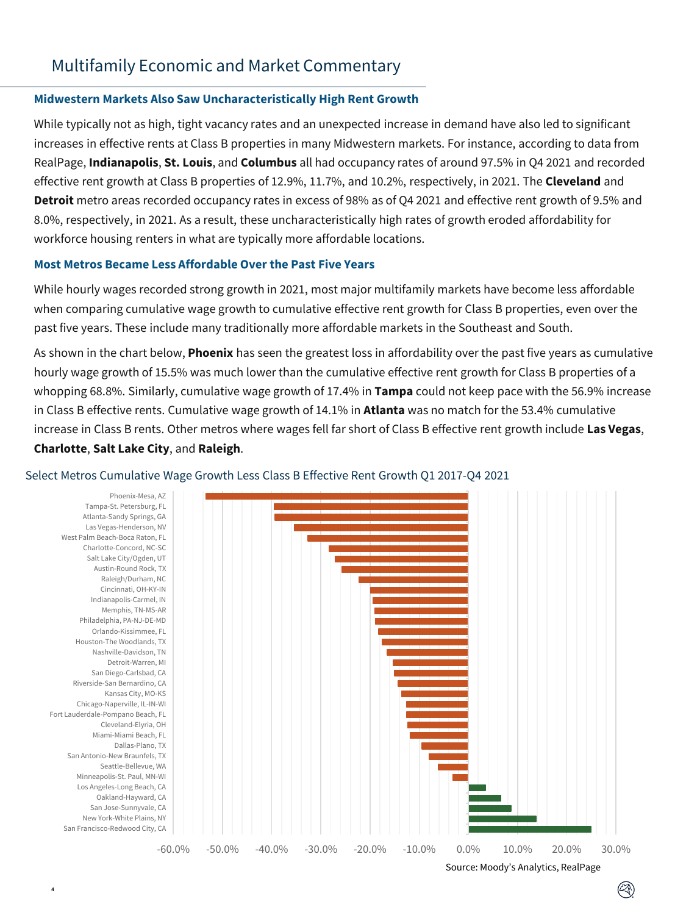#### **Midwestern Markets Also Saw Uncharacteristically High Rent Growth**

While typically not as high, tight vacancy rates and an unexpected increase in demand have also led to significant increases in effective rents at Class B properties in many Midwestern markets. For instance, according to data from RealPage, **Indianapolis**, **St. Louis**, and **Columbus** all had occupancy rates of around 97.5% in Q4 2021 and recorded effective rent growth at Class B properties of 12.9%, 11.7%, and 10.2%, respectively, in 2021. The **Cleveland** and **Detroit** metro areas recorded occupancy rates in excess of 98% as of Q4 2021 and effective rent growth of 9.5% and 8.0%, respectively, in 2021. As a result, these uncharacteristically high rates of growth eroded affordability for workforce housing renters in what are typically more affordable locations.

#### **Most Metros Became Less Affordable Over the Past Five Years**

4

While hourly wages recorded strong growth in 2021, most major multifamily markets have become less affordable when comparing cumulative wage growth to cumulative effective rent growth for Class B properties, even over the past five years. These include many traditionally more affordable markets in the Southeast and South.

As shown in the chart below, **Phoenix** has seen the greatest loss in affordability over the past five years as cumulative hourly wage growth of 15.5% was much lower than the cumulative effective rent growth for Class B properties of a whopping 68.8%. Similarly, cumulative wage growth of 17.4% in **Tampa** could not keep pace with the 56.9% increase in Class B effective rents. Cumulative wage growth of 14.1% in **Atlanta** was no match for the 53.4% cumulative increase in Class B rents. Other metros where wages fell far short of Class B effective rent growth include **Las Vegas**, **Charlotte**, **Salt Lake City**, and **Raleigh**.



#### Select Metros Cumulative Wage Growth Less Class B Effective Rent Growth Q1 2017-Q4 2021

Source: Moody's Analytics, RealPage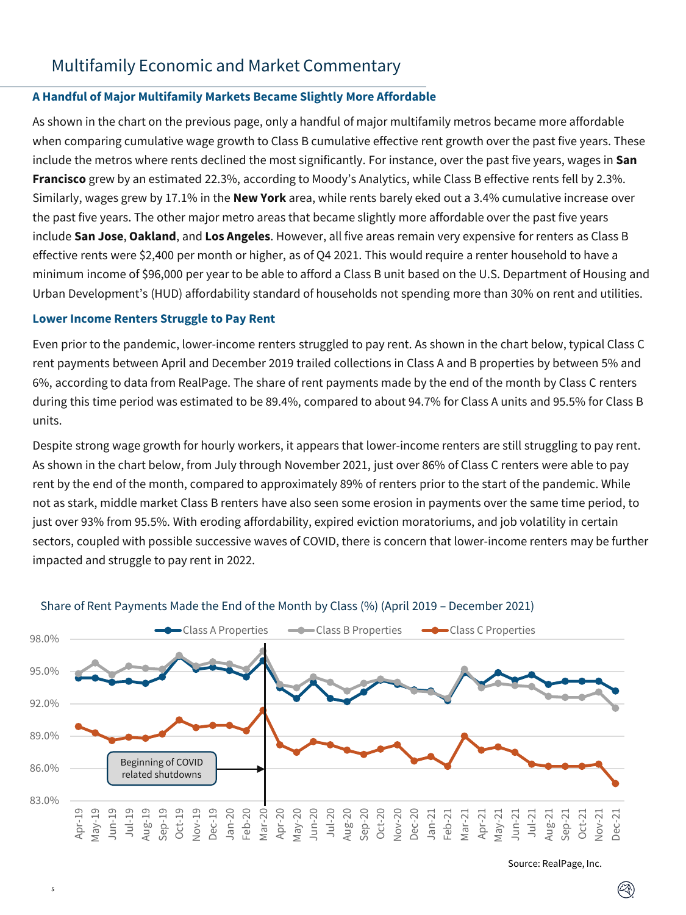### **A Handful of Major Multifamily Markets Became Slightly More Affordable**

As shown in the chart on the previous page, only a handful of major multifamily metros became more affordable when comparing cumulative wage growth to Class B cumulative effective rent growth over the past five years. These include the metros where rents declined the most significantly. For instance, over the past five years, wages in **San Francisco** grew by an estimated 22.3%, according to Moody's Analytics, while Class B effective rents fell by 2.3%. Similarly, wages grew by 17.1% in the **New York** area, while rents barely eked out a 3.4% cumulative increase over the past five years. The other major metro areas that became slightly more affordable over the past five years include **San Jose**, **Oakland**, and **Los Angeles**. However, all five areas remain very expensive for renters as Class B effective rents were \$2,400 per month or higher, as of Q4 2021. This would require a renter household to have a minimum income of \$96,000 per year to be able to afford a Class B unit based on the U.S. Department of Housing and Urban Development's (HUD) affordability standard of households not spending more than 30% on rent and utilities.

### **Lower Income Renters Struggle to Pay Rent**

5

Even prior to the pandemic, lower-income renters struggled to pay rent. As shown in the chart below, typical Class C rent payments between April and December 2019 trailed collections in Class A and B properties by between 5% and 6%, according to data from RealPage. The share of rent payments made by the end of the month by Class C renters during this time period was estimated to be 89.4%, compared to about 94.7% for Class A units and 95.5% for Class B units.

Despite strong wage growth for hourly workers, it appears that lower-income renters are still struggling to pay rent. As shown in the chart below, from July through November 2021, just over 86% of Class C renters were able to pay rent by the end of the month, compared to approximately 89% of renters prior to the start of the pandemic. While not as stark, middle market Class B renters have also seen some erosion in payments over the same time period, to just over 93% from 95.5%. With eroding affordability, expired eviction moratoriums, and job volatility in certain sectors, coupled with possible successive waves of COVID, there is concern that lower-income renters may be further impacted and struggle to pay rent in 2022.



#### Share of Rent Payments Made the End of the Month by Class (%) (April 2019 – December 2021)

Source: RealPage, Inc.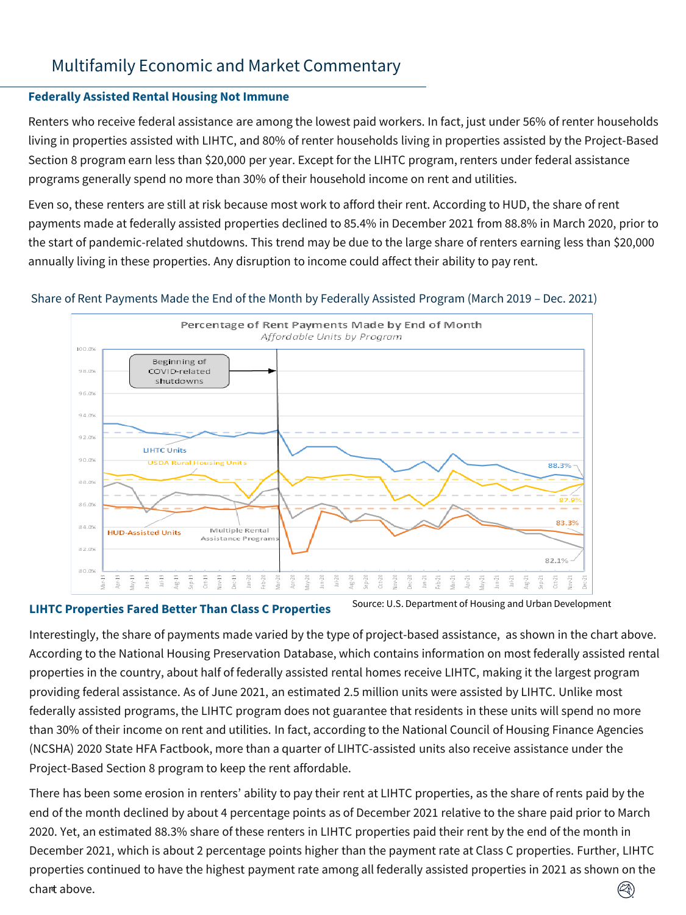## **Federally Assisted Rental Housing Not Immune**

Renters who receive federal assistance are among the lowest paid workers. In fact, just under 56% of renter households living in properties assisted with LIHTC, and 80% of renter households living in properties assisted by the Project-Based Section 8 program earn less than \$20,000 per year. Except for the LIHTC program, renters under federal assistance programs generally spend no more than 30% of their household income on rent and utilities.

Even so, these renters are still at risk because most work to afford their rent. According to HUD, the share of rent payments made at federally assisted properties declined to 85.4% in December 2021 from 88.8% in March 2020, prior to the start of pandemic-related shutdowns. This trend may be due to the large share of renters earning less than \$20,000 annually living in these properties. Any disruption to income could affect their ability to pay rent.

## Share of Rent Payments Made the End of the Month by Federally Assisted Program (March 2019 – Dec. 2021)



#### **LIHTC Properties Fared Better Than Class C Properties**

Source: U.S. Department of Housing and Urban Development

Interestingly, the share of payments made varied by the type of project-based assistance, as shown in the chart above. According to the National Housing Preservation Database, which contains information on most federally assisted rental properties in the country, about half of federally assisted rental homes receive LIHTC, making it the largest program providing federal assistance. As of June 2021, an estimated 2.5 million units were assisted by LIHTC. Unlike most federally assisted programs, the LIHTC program does not guarantee that residents in these units will spend no more than 30% of their income on rent and utilities. In fact, according to the National Council of Housing Finance Agencies (NCSHA) 2020 State HFA Factbook, more than a quarter of LIHTC-assisted units also receive assistance under the Project-Based Section 8 program to keep the rent affordable.

There has been some erosion in renters' ability to pay their rent at LIHTC properties, as the share of rents paid by the end of the month declined by about 4 percentage points as of December 2021 relative to the share paid prior to March 2020. Yet, an estimated 88.3% share of these renters in LIHTC properties paid their rent by the end of the month in December 2021, which is about 2 percentage points higher than the payment rate at Class C properties. Further, LIHTC properties continued to have the highest payment rate among all federally assisted properties in 2021 as shown on the 6 chart above.  $(\heartsuit)$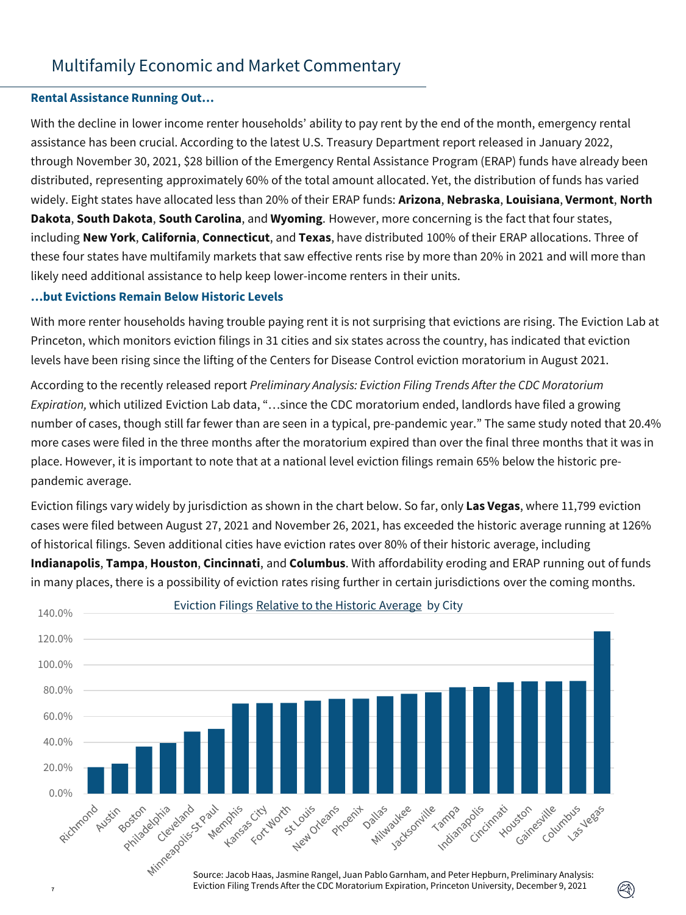### **Rental Assistance Running Out…**

With the decline in lower income renter households' ability to pay rent by the end of the month, emergency rental assistance has been crucial. According to the latest U.S. Treasury Department report released in January 2022, through November 30, 2021, \$28 billion of the Emergency Rental Assistance Program (ERAP) funds have already been distributed, representing approximately 60% of the total amount allocated. Yet, the distribution of funds has varied widely. Eight states have allocated less than 20% of their ERAP funds: **Arizona**, **Nebraska**, **Louisiana**, **Vermont**, **North Dakota**, **South Dakota**, **South Carolina**, and **Wyoming**. However, more concerning is the fact that four states, including **New York**, **California**, **Connecticut**, and **Texas**, have distributed 100% of their ERAP allocations. Three of these four states have multifamily markets that saw effective rents rise by more than 20% in 2021 and will more than likely need additional assistance to help keep lower-income renters in their units.

#### **…but Evictions Remain Below Historic Levels**

With more renter households having trouble paying rent it is not surprising that evictions are rising. The Eviction Lab at Princeton, which monitors eviction filings in 31 cities and six states across the country, has indicated that eviction levels have been rising since the lifting of the Centers for Disease Control eviction moratorium in August 2021.

According to the recently released report *Preliminary Analysis: Eviction Filing Trends After the CDC Moratorium Expiration,* which utilized Eviction Lab data, "…since the CDC moratorium ended, landlords have filed a growing number of cases, though still far fewer than are seen in a typical, pre-pandemic year." The same study noted that 20.4% more cases were filed in the three months after the moratorium expired than over the final three months that it was in place. However, it is important to note that at a national level eviction filings remain 65% below the historic prepandemic average.

Eviction filings vary widely by jurisdiction as shown in the chart below. So far, only **Las Vegas**, where 11,799 eviction cases were filed between August 27, 2021 and November 26, 2021, has exceeded the historic average running at 126% of historical filings. Seven additional cities have eviction rates over 80% of their historic average, including **Indianapolis**, **Tampa**, **Houston**, **Cincinnati**, and **Columbus**. With affordability eroding and ERAP running out of funds in many places, there is a possibility of eviction rates rising further in certain jurisdictions over the coming months.